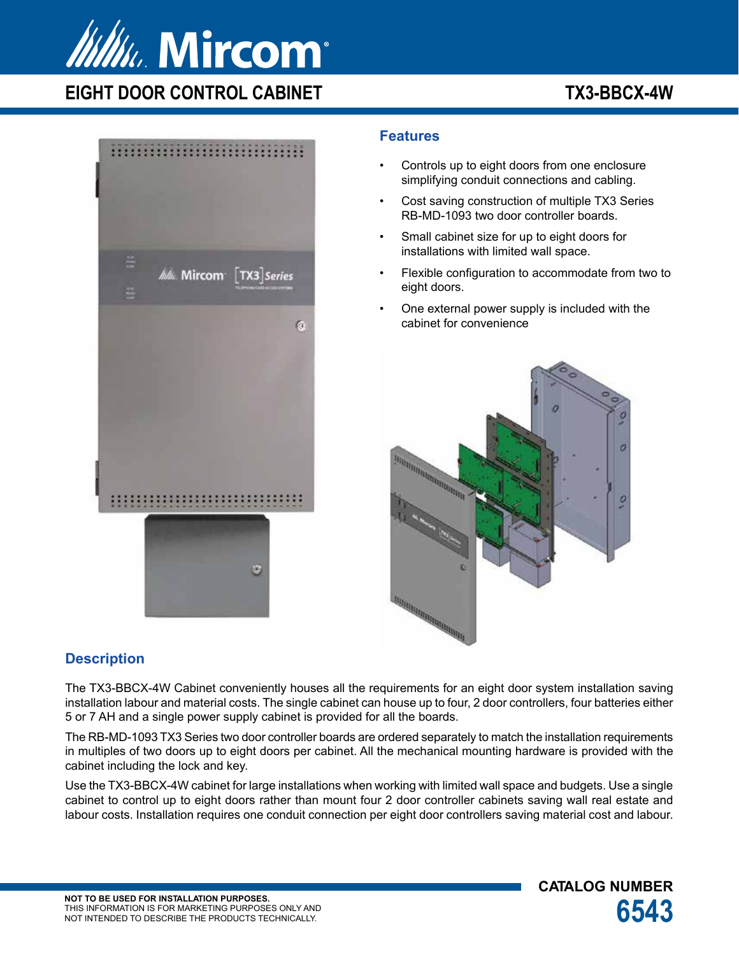

**EIGHT DOOR CONTROL CABINET TX3-BBCX-4W** 

**CATALOG NUMBER**



### **Features**

- Controls up to eight doors from one enclosure simplifying conduit connections and cabling.
- Cost saving construction of multiple TX3 Series RB-MD-1093 two door controller boards.
- Small cabinet size for up to eight doors for installations with limited wall space.
- Flexible configuration to accommodate from two to eight doors.
- One external power supply is included with the cabinet for convenience



## **Description**

The TX3-BBCX-4W Cabinet conveniently houses all the requirements for an eight door system installation saving installation labour and material costs. The single cabinet can house up to four, 2 door controllers, four batteries either 5 or 7 AH and a single power supply cabinet is provided for all the boards.

The RB-MD-1093 TX3 Series two door controller boards are ordered separately to match the installation requirements in multiples of two doors up to eight doors per cabinet. All the mechanical mounting hardware is provided with the cabinet including the lock and key.

Use the TX3-BBCX-4W cabinet for large installations when working with limited wall space and budgets. Use a single cabinet to control up to eight doors rather than mount four 2 door controller cabinets saving wall real estate and labour costs. Installation requires one conduit connection per eight door controllers saving material cost and labour.